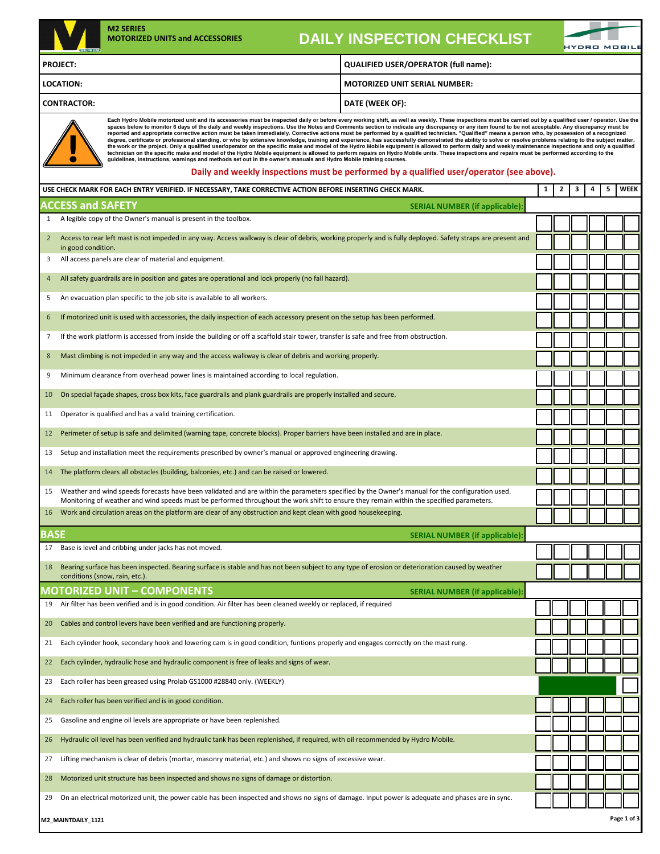

## **DAILY INSPECTION CHECKLIST**

**MOTORIZED UNIT SERIAL NUMBER:**

| <b>GENES</b> . | PANET INVITEVINVIN VIIEVINEIVI              | <b>HYDRO MOBILI</b> |
|----------------|---------------------------------------------|---------------------|
| <b>PROJECT</b> | <b>QUALIFIED USER/OPERATOR (full name):</b> |                     |

**LOCATION:**

**CONTRACTOR:**

 $\bullet$ 

**Each Hydro Mobile motorized unit and its accessories must be inspected daily or before every working shift, as well as weekly. These inspections must be carried out by a qualified user / operator. Use the**  spaces below to monitor 6 days of the daily and weekly inspections. Use the Notes and Comments section to indicate any discrepancy or any item found to be not acceptable. Any discrepancy must be performed and appropriate c

**DATE (WEEK OF):**

### **Daily and weekly inspections must be performed by a qualified user/operator (see above).**

|                 | USE CHECK MARK FOR EACH ENTRY VERIFIED. IF NECESSARY, TAKE CORRECTIVE ACTION BEFORE INSERTING CHECK MARK.                                                                                                                                                                                   | $\mathbf{1}$ | $\mathbf{2}$ | 3 | 4 | 5 | <b>WEEK</b> |
|-----------------|---------------------------------------------------------------------------------------------------------------------------------------------------------------------------------------------------------------------------------------------------------------------------------------------|--------------|--------------|---|---|---|-------------|
|                 | <b>ACCESS and SAFETY</b><br><b>SERIAL NUMBER (if applicable):</b>                                                                                                                                                                                                                           |              |              |   |   |   |             |
| $\mathbf{1}$    | A legible copy of the Owner's manual is present in the toolbox.                                                                                                                                                                                                                             |              |              |   |   |   |             |
| $2^{\circ}$     | Access to rear left mast is not impeded in any way. Access walkway is clear of debris, working properly and is fully deployed. Safety straps are present and<br>in good condition.                                                                                                          |              |              |   |   |   |             |
| 3               | All access panels are clear of material and equipment.                                                                                                                                                                                                                                      |              |              |   |   |   |             |
| $\overline{4}$  | All safety guardrails are in position and gates are operational and lock properly (no fall hazard).                                                                                                                                                                                         |              |              |   |   |   |             |
| 5               | An evacuation plan specific to the job site is available to all workers.                                                                                                                                                                                                                    |              |              |   |   |   |             |
| 6               | If motorized unit is used with accessories, the daily inspection of each accessory present on the setup has been performed.                                                                                                                                                                 |              |              |   |   |   |             |
| $\overline{7}$  | If the work platform is accessed from inside the building or off a scaffold stair tower, transfer is safe and free from obstruction.                                                                                                                                                        |              |              |   |   |   |             |
| 8               | Mast climbing is not impeded in any way and the access walkway is clear of debris and working properly.                                                                                                                                                                                     |              |              |   |   |   |             |
| 9               | Minimum clearance from overhead power lines is maintained according to local regulation.                                                                                                                                                                                                    |              |              |   |   |   |             |
| 10 <sup>°</sup> | On special façade shapes, cross box kits, face guardrails and plank guardrails are properly installed and secure.                                                                                                                                                                           |              |              |   |   |   |             |
| 11              | Operator is qualified and has a valid training certification.                                                                                                                                                                                                                               |              |              |   |   |   |             |
| 12              | Perimeter of setup is safe and delimited (warning tape, concrete blocks). Proper barriers have been installed and are in place.                                                                                                                                                             |              |              |   |   |   |             |
| 13              | Setup and installation meet the requirements prescribed by owner's manual or approved engineering drawing.                                                                                                                                                                                  |              |              |   |   |   |             |
| 14              | The platform clears all obstacles (building, balconies, etc.) and can be raised or lowered.                                                                                                                                                                                                 |              |              |   |   |   |             |
| 15              | Weather and wind speeds forecasts have been validated and are within the parameters specified by the Owner's manual for the configuration used.<br>Monitoring of weather and wind speeds must be performed throughout the work shift to ensure they remain within the specified parameters. |              |              |   |   |   |             |
| 16              | Work and circulation areas on the platform are clear of any obstruction and kept clean with good housekeeping.                                                                                                                                                                              |              |              |   |   |   |             |
| <b>BASE</b>     | <b>SERIAL NUMBER (if applicable)</b>                                                                                                                                                                                                                                                        |              |              |   |   |   |             |
| 17              | Base is level and cribbing under jacks has not moved.                                                                                                                                                                                                                                       |              |              |   |   |   |             |
| 18              | Bearing surface has been inspected. Bearing surface is stable and has not been subject to any type of erosion or deterioration caused by weather<br>conditions (snow, rain, etc.).                                                                                                          |              |              |   |   |   |             |
|                 | <b>MOTORIZED UNIT - COMPONENTS</b><br><b>SERIAL NUMBER (if applicable)</b>                                                                                                                                                                                                                  |              |              |   |   |   |             |
| 19              | Air filter has been verified and is in good condition. Air filter has been cleaned weekly or replaced, if required                                                                                                                                                                          |              |              |   |   |   |             |
| 20              | Cables and control levers have been verified and are functioning properly.                                                                                                                                                                                                                  |              |              |   |   |   |             |
| 21              | Each cylinder hook, secondary hook and lowering cam is in good condition, funtions properly and engages correctly on the mast rung.                                                                                                                                                         |              |              |   |   |   |             |
| 22              | Each cylinder, hydraulic hose and hydraulic component is free of leaks and signs of wear.                                                                                                                                                                                                   |              |              |   |   |   |             |
| 23              | Each roller has been greased using Prolab GS1000 #28840 only. (WEEKLY)                                                                                                                                                                                                                      |              |              |   |   |   |             |
| 24              | Each roller has been verified and is in good condition.                                                                                                                                                                                                                                     |              |              |   |   |   |             |
| 25              | Gasoline and engine oil levels are appropriate or have been replenished.                                                                                                                                                                                                                    |              |              |   |   |   |             |
| 26              | Hydraulic oil level has been verified and hydraulic tank has been replenished, if required, with oil recommended by Hydro Mobile.                                                                                                                                                           |              |              |   |   |   |             |
| 27              | Lifting mechanism is clear of debris (mortar, masonry material, etc.) and shows no signs of excessive wear.                                                                                                                                                                                 |              |              |   |   |   |             |
| 28              | Motorized unit structure has been inspected and shows no signs of damage or distortion.                                                                                                                                                                                                     |              |              |   |   |   |             |
| 29              | On an electrical motorized unit, the power cable has been inspected and shows no signs of damage. Input power is adequate and phases are in sync.                                                                                                                                           |              |              |   |   |   |             |
|                 | Page 1 of 3<br>M2_MAINTDAILY_1121                                                                                                                                                                                                                                                           |              |              |   |   |   |             |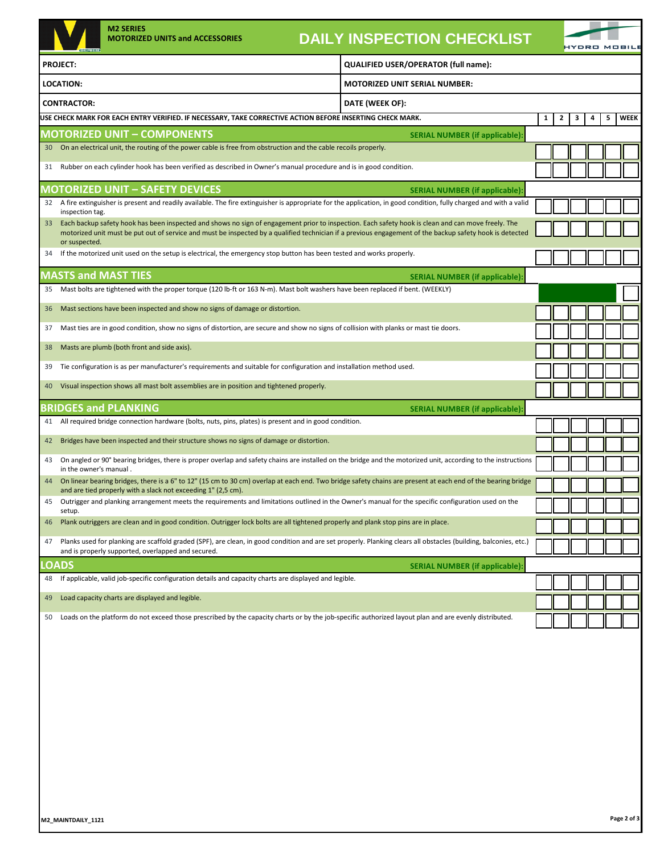| <b>PROJECT:</b><br><b>LOCATION:</b><br><b>CONTRACTOR:</b><br>31<br>32<br>inspection tag.<br>33<br>or suspected.<br>34<br><b>MASTS and MAST TIES</b><br>35<br>36<br>37<br>38<br>39<br>40<br>41<br>42 | <b>MOTORIZED UNIT SERIAL NUMBER:</b><br>DATE (WEEK OF):<br>USE CHECK MARK FOR EACH ENTRY VERIFIED. IF NECESSARY, TAKE CORRECTIVE ACTION BEFORE INSERTING CHECK MARK.<br><b>MOTORIZED UNIT - COMPONENTS</b><br>30 On an electrical unit, the routing of the power cable is free from obstruction and the cable recoils properly.<br>Rubber on each cylinder hook has been verified as described in Owner's manual procedure and is in good condition.<br><b>MOTORIZED UNIT - SAFETY DEVICES</b><br>A fire extinguisher is present and readily available. The fire extinguisher is appropriate for the application, in good condition, fully charged and with a valid<br>Each backup safety hook has been inspected and shows no sign of engagement prior to inspection. Each safety hook is clean and can move freely. The<br>motorized unit must be put out of service and must be inspected by a qualified technician if a previous engagement of the backup safety hook is detected<br>If the motorized unit used on the setup is electrical, the emergency stop button has been tested and works properly.<br>Mast bolts are tightened with the proper torque (120 lb-ft or 163 N-m). Mast bolt washers have been replaced if bent. (WEEKLY)<br>Mast sections have been inspected and show no signs of damage or distortion.<br>Mast ties are in good condition, show no signs of distortion, are secure and show no signs of collision with planks or mast tie doors.<br>Masts are plumb (both front and side axis).<br>Tie configuration is as per manufacturer's requirements and suitable for configuration and installation method used.<br>Visual inspection shows all mast bolt assemblies are in position and tightened properly. | QUALIFIED USER/OPERATOR (full name):<br><b>SERIAL NUMBER (if applicable):</b><br><b>SERIAL NUMBER (if applicable):</b><br><b>SERIAL NUMBER (if applicable):</b> | 1 | 2 | 3<br>4 | 5 | <b>WEEK</b> |
|-----------------------------------------------------------------------------------------------------------------------------------------------------------------------------------------------------|----------------------------------------------------------------------------------------------------------------------------------------------------------------------------------------------------------------------------------------------------------------------------------------------------------------------------------------------------------------------------------------------------------------------------------------------------------------------------------------------------------------------------------------------------------------------------------------------------------------------------------------------------------------------------------------------------------------------------------------------------------------------------------------------------------------------------------------------------------------------------------------------------------------------------------------------------------------------------------------------------------------------------------------------------------------------------------------------------------------------------------------------------------------------------------------------------------------------------------------------------------------------------------------------------------------------------------------------------------------------------------------------------------------------------------------------------------------------------------------------------------------------------------------------------------------------------------------------------------------------------------------------------------------------------------------------------------------------------------------------|-----------------------------------------------------------------------------------------------------------------------------------------------------------------|---|---|--------|---|-------------|
|                                                                                                                                                                                                     |                                                                                                                                                                                                                                                                                                                                                                                                                                                                                                                                                                                                                                                                                                                                                                                                                                                                                                                                                                                                                                                                                                                                                                                                                                                                                                                                                                                                                                                                                                                                                                                                                                                                                                                                              |                                                                                                                                                                 |   |   |        |   |             |
|                                                                                                                                                                                                     |                                                                                                                                                                                                                                                                                                                                                                                                                                                                                                                                                                                                                                                                                                                                                                                                                                                                                                                                                                                                                                                                                                                                                                                                                                                                                                                                                                                                                                                                                                                                                                                                                                                                                                                                              |                                                                                                                                                                 |   |   |        |   |             |
|                                                                                                                                                                                                     |                                                                                                                                                                                                                                                                                                                                                                                                                                                                                                                                                                                                                                                                                                                                                                                                                                                                                                                                                                                                                                                                                                                                                                                                                                                                                                                                                                                                                                                                                                                                                                                                                                                                                                                                              |                                                                                                                                                                 |   |   |        |   |             |
|                                                                                                                                                                                                     |                                                                                                                                                                                                                                                                                                                                                                                                                                                                                                                                                                                                                                                                                                                                                                                                                                                                                                                                                                                                                                                                                                                                                                                                                                                                                                                                                                                                                                                                                                                                                                                                                                                                                                                                              |                                                                                                                                                                 |   |   |        |   |             |
|                                                                                                                                                                                                     |                                                                                                                                                                                                                                                                                                                                                                                                                                                                                                                                                                                                                                                                                                                                                                                                                                                                                                                                                                                                                                                                                                                                                                                                                                                                                                                                                                                                                                                                                                                                                                                                                                                                                                                                              |                                                                                                                                                                 |   |   |        |   |             |
|                                                                                                                                                                                                     |                                                                                                                                                                                                                                                                                                                                                                                                                                                                                                                                                                                                                                                                                                                                                                                                                                                                                                                                                                                                                                                                                                                                                                                                                                                                                                                                                                                                                                                                                                                                                                                                                                                                                                                                              |                                                                                                                                                                 |   |   |        |   |             |
|                                                                                                                                                                                                     |                                                                                                                                                                                                                                                                                                                                                                                                                                                                                                                                                                                                                                                                                                                                                                                                                                                                                                                                                                                                                                                                                                                                                                                                                                                                                                                                                                                                                                                                                                                                                                                                                                                                                                                                              |                                                                                                                                                                 |   |   |        |   |             |
|                                                                                                                                                                                                     |                                                                                                                                                                                                                                                                                                                                                                                                                                                                                                                                                                                                                                                                                                                                                                                                                                                                                                                                                                                                                                                                                                                                                                                                                                                                                                                                                                                                                                                                                                                                                                                                                                                                                                                                              |                                                                                                                                                                 |   |   |        |   |             |
|                                                                                                                                                                                                     |                                                                                                                                                                                                                                                                                                                                                                                                                                                                                                                                                                                                                                                                                                                                                                                                                                                                                                                                                                                                                                                                                                                                                                                                                                                                                                                                                                                                                                                                                                                                                                                                                                                                                                                                              |                                                                                                                                                                 |   |   |        |   |             |
|                                                                                                                                                                                                     |                                                                                                                                                                                                                                                                                                                                                                                                                                                                                                                                                                                                                                                                                                                                                                                                                                                                                                                                                                                                                                                                                                                                                                                                                                                                                                                                                                                                                                                                                                                                                                                                                                                                                                                                              |                                                                                                                                                                 |   |   |        |   |             |
|                                                                                                                                                                                                     |                                                                                                                                                                                                                                                                                                                                                                                                                                                                                                                                                                                                                                                                                                                                                                                                                                                                                                                                                                                                                                                                                                                                                                                                                                                                                                                                                                                                                                                                                                                                                                                                                                                                                                                                              |                                                                                                                                                                 |   |   |        |   |             |
|                                                                                                                                                                                                     |                                                                                                                                                                                                                                                                                                                                                                                                                                                                                                                                                                                                                                                                                                                                                                                                                                                                                                                                                                                                                                                                                                                                                                                                                                                                                                                                                                                                                                                                                                                                                                                                                                                                                                                                              |                                                                                                                                                                 |   |   |        |   |             |
|                                                                                                                                                                                                     |                                                                                                                                                                                                                                                                                                                                                                                                                                                                                                                                                                                                                                                                                                                                                                                                                                                                                                                                                                                                                                                                                                                                                                                                                                                                                                                                                                                                                                                                                                                                                                                                                                                                                                                                              |                                                                                                                                                                 |   |   |        |   |             |
|                                                                                                                                                                                                     |                                                                                                                                                                                                                                                                                                                                                                                                                                                                                                                                                                                                                                                                                                                                                                                                                                                                                                                                                                                                                                                                                                                                                                                                                                                                                                                                                                                                                                                                                                                                                                                                                                                                                                                                              |                                                                                                                                                                 |   |   |        |   |             |
|                                                                                                                                                                                                     |                                                                                                                                                                                                                                                                                                                                                                                                                                                                                                                                                                                                                                                                                                                                                                                                                                                                                                                                                                                                                                                                                                                                                                                                                                                                                                                                                                                                                                                                                                                                                                                                                                                                                                                                              |                                                                                                                                                                 |   |   |        |   |             |
|                                                                                                                                                                                                     |                                                                                                                                                                                                                                                                                                                                                                                                                                                                                                                                                                                                                                                                                                                                                                                                                                                                                                                                                                                                                                                                                                                                                                                                                                                                                                                                                                                                                                                                                                                                                                                                                                                                                                                                              |                                                                                                                                                                 |   |   |        |   |             |
|                                                                                                                                                                                                     |                                                                                                                                                                                                                                                                                                                                                                                                                                                                                                                                                                                                                                                                                                                                                                                                                                                                                                                                                                                                                                                                                                                                                                                                                                                                                                                                                                                                                                                                                                                                                                                                                                                                                                                                              |                                                                                                                                                                 |   |   |        |   |             |
|                                                                                                                                                                                                     | <b>BRIDGES and PLANKING</b><br><b>SERIAL NUMBER (if applicable):</b>                                                                                                                                                                                                                                                                                                                                                                                                                                                                                                                                                                                                                                                                                                                                                                                                                                                                                                                                                                                                                                                                                                                                                                                                                                                                                                                                                                                                                                                                                                                                                                                                                                                                         |                                                                                                                                                                 |   |   |        |   |             |
|                                                                                                                                                                                                     |                                                                                                                                                                                                                                                                                                                                                                                                                                                                                                                                                                                                                                                                                                                                                                                                                                                                                                                                                                                                                                                                                                                                                                                                                                                                                                                                                                                                                                                                                                                                                                                                                                                                                                                                              |                                                                                                                                                                 |   |   |        |   |             |
|                                                                                                                                                                                                     | All required bridge connection hardware (bolts, nuts, pins, plates) is present and in good condition.                                                                                                                                                                                                                                                                                                                                                                                                                                                                                                                                                                                                                                                                                                                                                                                                                                                                                                                                                                                                                                                                                                                                                                                                                                                                                                                                                                                                                                                                                                                                                                                                                                        |                                                                                                                                                                 |   |   |        |   |             |
|                                                                                                                                                                                                     | Bridges have been inspected and their structure shows no signs of damage or distortion.                                                                                                                                                                                                                                                                                                                                                                                                                                                                                                                                                                                                                                                                                                                                                                                                                                                                                                                                                                                                                                                                                                                                                                                                                                                                                                                                                                                                                                                                                                                                                                                                                                                      |                                                                                                                                                                 |   |   |        |   |             |
| 43<br>in the owner's manual.                                                                                                                                                                        | On angled or 90° bearing bridges, there is proper overlap and safety chains are installed on the bridge and the motorized unit, according to the instructions                                                                                                                                                                                                                                                                                                                                                                                                                                                                                                                                                                                                                                                                                                                                                                                                                                                                                                                                                                                                                                                                                                                                                                                                                                                                                                                                                                                                                                                                                                                                                                                |                                                                                                                                                                 |   |   |        |   |             |
| 44                                                                                                                                                                                                  | On linear bearing bridges, there is a 6" to 12" (15 cm to 30 cm) overlap at each end. Two bridge safety chains are present at each end of the bearing bridge<br>and are tied properly with a slack not exceeding 1" (2,5 cm).                                                                                                                                                                                                                                                                                                                                                                                                                                                                                                                                                                                                                                                                                                                                                                                                                                                                                                                                                                                                                                                                                                                                                                                                                                                                                                                                                                                                                                                                                                                |                                                                                                                                                                 |   |   |        |   |             |
| 45                                                                                                                                                                                                  | Outrigger and planking arrangement meets the requirements and limitations outlined in the Owner's manual for the specific configuration used on the                                                                                                                                                                                                                                                                                                                                                                                                                                                                                                                                                                                                                                                                                                                                                                                                                                                                                                                                                                                                                                                                                                                                                                                                                                                                                                                                                                                                                                                                                                                                                                                          |                                                                                                                                                                 |   |   |        |   |             |
| setup.<br>46                                                                                                                                                                                        | Plank outriggers are clean and in good condition. Outrigger lock bolts are all tightened properly and plank stop pins are in place.                                                                                                                                                                                                                                                                                                                                                                                                                                                                                                                                                                                                                                                                                                                                                                                                                                                                                                                                                                                                                                                                                                                                                                                                                                                                                                                                                                                                                                                                                                                                                                                                          |                                                                                                                                                                 |   |   |        |   |             |
| 47                                                                                                                                                                                                  | Planks used for planking are scaffold graded (SPF), are clean, in good condition and are set properly. Planking clears all obstacles (building, balconies, etc.)                                                                                                                                                                                                                                                                                                                                                                                                                                                                                                                                                                                                                                                                                                                                                                                                                                                                                                                                                                                                                                                                                                                                                                                                                                                                                                                                                                                                                                                                                                                                                                             |                                                                                                                                                                 |   |   |        |   |             |
| LOADS                                                                                                                                                                                               | and is properly supported, overlapped and secured.                                                                                                                                                                                                                                                                                                                                                                                                                                                                                                                                                                                                                                                                                                                                                                                                                                                                                                                                                                                                                                                                                                                                                                                                                                                                                                                                                                                                                                                                                                                                                                                                                                                                                           | <b>SERIAL NUMBER (if applicable):</b>                                                                                                                           |   |   |        |   |             |
| 48                                                                                                                                                                                                  | If applicable, valid job-specific configuration details and capacity charts are displayed and legible.                                                                                                                                                                                                                                                                                                                                                                                                                                                                                                                                                                                                                                                                                                                                                                                                                                                                                                                                                                                                                                                                                                                                                                                                                                                                                                                                                                                                                                                                                                                                                                                                                                       |                                                                                                                                                                 |   |   |        |   |             |
| 49                                                                                                                                                                                                  | Load capacity charts are displayed and legible.                                                                                                                                                                                                                                                                                                                                                                                                                                                                                                                                                                                                                                                                                                                                                                                                                                                                                                                                                                                                                                                                                                                                                                                                                                                                                                                                                                                                                                                                                                                                                                                                                                                                                              |                                                                                                                                                                 |   |   |        |   |             |
| 50                                                                                                                                                                                                  | Loads on the platform do not exceed those prescribed by the capacity charts or by the job-specific authorized layout plan and are evenly distributed.                                                                                                                                                                                                                                                                                                                                                                                                                                                                                                                                                                                                                                                                                                                                                                                                                                                                                                                                                                                                                                                                                                                                                                                                                                                                                                                                                                                                                                                                                                                                                                                        |                                                                                                                                                                 |   |   |        |   |             |
|                                                                                                                                                                                                     |                                                                                                                                                                                                                                                                                                                                                                                                                                                                                                                                                                                                                                                                                                                                                                                                                                                                                                                                                                                                                                                                                                                                                                                                                                                                                                                                                                                                                                                                                                                                                                                                                                                                                                                                              |                                                                                                                                                                 |   |   |        |   |             |